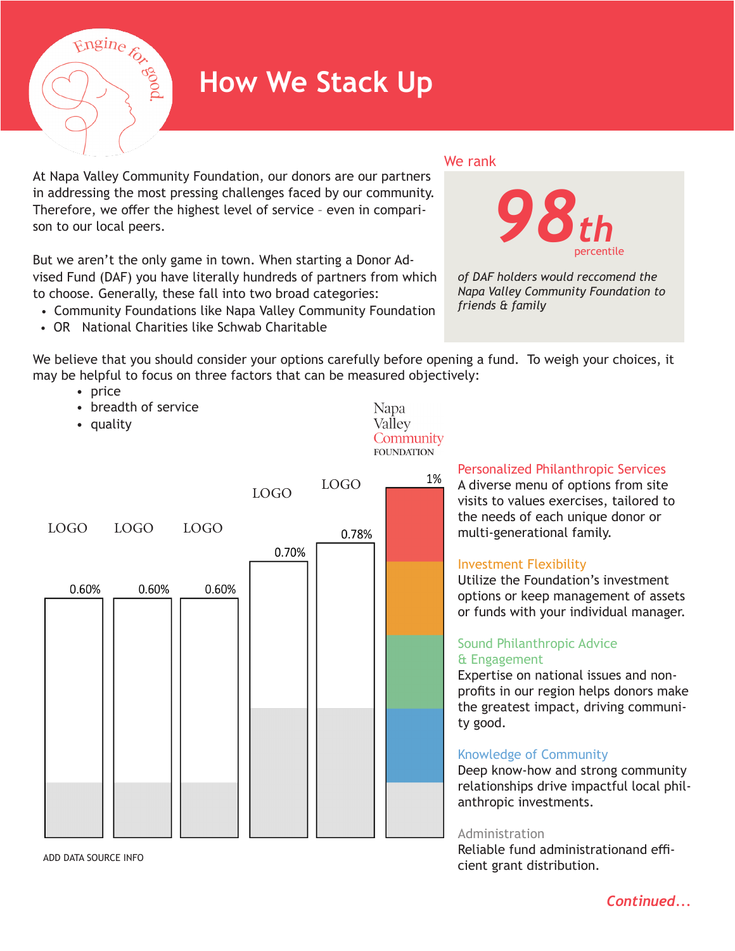

# **How We Stack Up**

At Napa Valley Community Foundation, our donors are our partners in addressing the most pressing challenges faced by our community. Therefore, we offer the highest level of service – even in comparison to our local peers.

But we aren't the only game in town. When starting a Donor Advised Fund (DAF) you have literally hundreds of partners from which to choose. Generally, these fall into two broad categories:

- Community Foundations like Napa Valley Community Foundation
- OR National Charities like Schwab Charitable





*of DAF holders would reccomend the Napa Valley Community Foundation to friends & family*

We believe that you should consider your options carefully before opening a fund. To weigh your choices, it may be helpful to focus on three factors that can be measured objectively:

> Napa Vallev Community

- price
	- breadth of service
	- quality



ADD DATA SOURCE INFO

Personalized Philanthropic Services

A diverse menu of options from site visits to values exercises, tailored to the needs of each unique donor or multi-generational family.

# Investment Flexibility

Utilize the Foundation's investment options or keep management of assets or funds with your individual manager.

## Sound Philanthropic Advice & Engagement

Expertise on national issues and nonprofits in our region helps donors make the greatest impact, driving community good.

#### Knowledge of Community

Deep know-how and strong community relationships drive impactful local philanthropic investments.

#### Administration

Reliable fund administrationand efficient grant distribution.